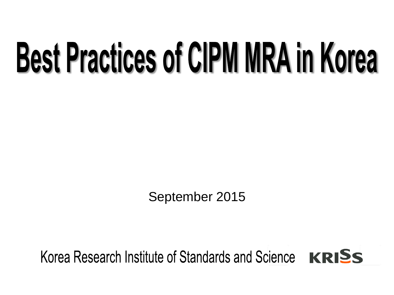# **Best Practices of CIPM MRA in Korea**

September 2015

# Korea Research Institute of Standards and Science KRISS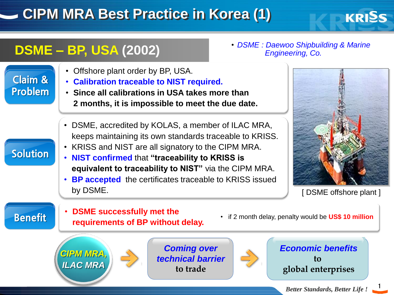# **CIPM MRA Best Practice in Korea (1)**

## **DSME – BP, USA (2002)**

• *DSME : Daewoo Shipbuilding & Marine Engineering, Co.*

- Offshore plant order by BP, USA.
- Claim & Problem
- **Calibration traceable to NIST required.**
- **Since all calibrations in USA takes more than 2 months, it is impossible to meet the due date.**
- DSME, accredited by KOLAS, a member of ILAC MRA, keeps maintaining its own standards traceable to KRISS.
- KRISS and NIST are all signatory to the CIPM MRA.
- **NIST confirmed** that **"traceability to KRISS is equivalent to traceability to NIST"** via the CIPM MRA.
- **BP accepted** the certificates traceable to KRISS issued by DSME.

**KRISS** 

Benefit

**Solution** 

- **DSME successfully met the requirements of BP without delay.**
- if 2 month delay, penalty would be **US\$ 10 million**



*Coming over technical barrier* **to trade**



*Economic benefits* **to global enterprises**

1

<sup>[</sup> DSME offshore plant ]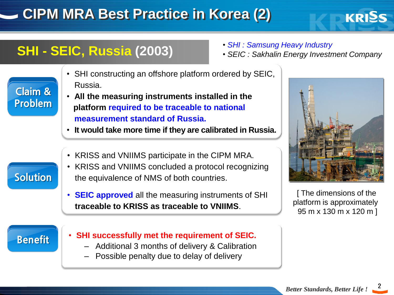# **CIPM MRA Best Practice in Korea (2)**

## **SHI - SEIC, Russia (2003)**

- *SHI : Samsung Heavy Industry*
- *SEIC : Sakhalin Energy Investment Company*
- SHI constructing an offshore platform ordered by SEIC, Russia.
- **All the measuring instruments installed in the platform required to be traceable to national measurement standard of Russia.**
	- **It would take more time if they are calibrated in Russia.**
	- KRISS and VNIIMS participate in the CIPM MRA.

**Solution** 

Claim &

Problem

- KRISS and VNIIMS concluded a protocol recognizing the equivalence of NMS of both countries.
- **SEIC approved** all the measuring instruments of SHI **traceable to KRISS as traceable to VNIIMS**.



**KRISS** 

[ The dimensions of the platform is approximately 95 m x 130 m x 120 m ]

#### Benefit

- **SHI successfully met the requirement of SEIC.**
	- Additional 3 months of delivery & Calibration
	- Possible penalty due to delay of delivery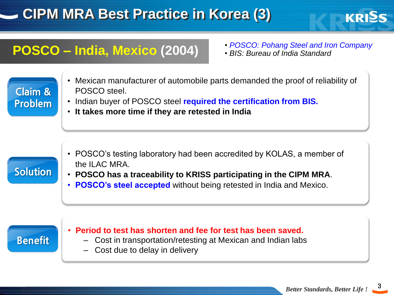# **CIPM MRA Best Practice in Korea (3)**

## **POSCO – India, Mexico (2004)** • *POSCO: Pohang Steel and Iron Company*

KRISS

• *BIS: Bureau of India Standard* 

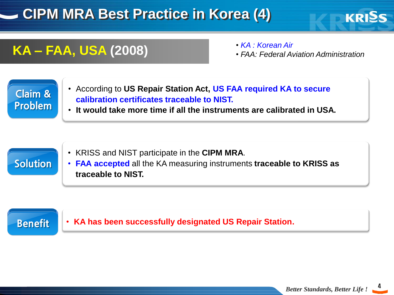# **CIPM MRA Best Practice in Korea (4)**

### **KA – FAA, USA (2008)**

• *KA : Korean Air*

• *FAA: Federal Aviation Administration*

KRISS

#### Claim & Problem

- According to **US Repair Station Act, US FAA required KA to secure calibration certificates traceable to NIST.**
- **It would take more time if all the instruments are calibrated in USA.**



- KRISS and NIST participate in the **CIPM MRA**.
- **FAA accepted** all the KA measuring instruments **traceable to KRISS as traceable to NIST.**

#### Benefit

• **KA has been successfully designated US Repair Station.**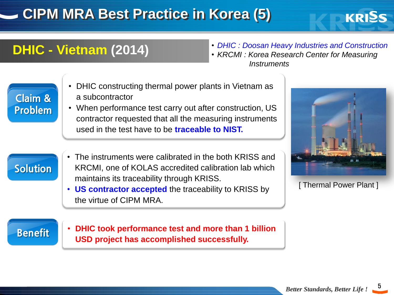# **CIPM MRA Best Practice in Korea (5)**

## **DHIC - Vietnam (2014)**

• *DHIC : Doosan Heavy Industries and Construction*

**KRISS** 

• *KRCMI : Korea Research Center for Measuring Instruments*

| <b>Claim &amp;</b><br><b>Problem</b> | • DHIC constructing thermal power plants in Vietnam as<br>a subcontractor<br>• When performance test carry out after construction, US<br>contractor requested that all the measuring instruments<br>used in the test have to be <b>traceable to NIST.</b> | [Thermal Power Plant] |
|--------------------------------------|-----------------------------------------------------------------------------------------------------------------------------------------------------------------------------------------------------------------------------------------------------------|-----------------------|
| <b>Solution</b>                      | • The instruments were calibrated in the both KRISS and<br>KRCMI, one of KOLAS accredited calibration lab which<br>maintains its traceability through KRISS.<br>• US contractor accepted the traceability to KRISS by<br>the virtue of CIPM MRA.          |                       |
| <b>Benefit</b>                       | DHIC took performance test and more than 1 billion<br>$\bullet$<br>USD project has accomplished successfully.                                                                                                                                             |                       |